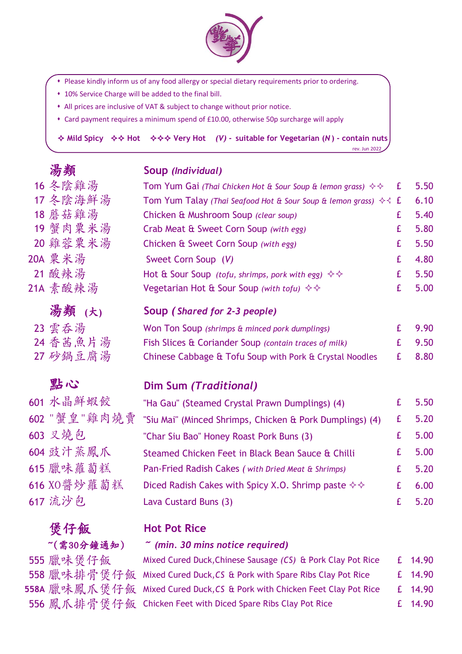

- Please kindly inform us of any food allergy or special dietary requirements prior to ordering.
- \* 10% Service Charge will be added to the final bill.
- All prices are inclusive of VAT & subject to change without prior notice.
- Card payment requires a minimum spend of £10.00, otherwise 50p surcharge will apply

 $\triangle$  **Mild Spicy**   $\triangle$   $\triangle$   $\triangle$  Hot  $\triangle$   $\triangle$   $\triangle$  Very Hot *(V)* - suitable for Vegetarian (*N*) - contain nuts

rev. Jun 2022

| 湯類                       | Soup (Individual)                                                                                          |    |       |
|--------------------------|------------------------------------------------------------------------------------------------------------|----|-------|
| 16 冬陰雞湯                  | Tom Yum Gai (Thai Chicken Hot & Sour Soup & lemon grass) $\diamondsuit$                                    | £  | 5.50  |
| 17冬陰海鮮湯                  | Tom Yum Talay (Thai Seafood Hot & Sour Soup & lemon grass) $\diamondsuit$ £                                |    | 6.10  |
| 18 蘑菇雞湯                  | Chicken & Mushroom Soup (clear soup)                                                                       | £  | 5.40  |
| 19 蟹肉粟米湯                 | Crab Meat & Sweet Corn Soup (with egg)                                                                     | £  | 5.80  |
| 20 雞蓉粟米湯                 | Chicken & Sweet Corn Soup (with egg)                                                                       | £  | 5.50  |
| 20A 栗米湯                  | Sweet Corn Soup (V)                                                                                        | £  | 4.80  |
| 21 酸辣湯                   | Hot & Sour Soup (tofu, shrimps, pork with egg) $\diamondsuit \diamondsuit$                                 | £  | 5.50  |
| 21A 素酸辣湯                 | Vegetarian Hot & Sour Soup (with tofu) $\diamondsuit \diamondsuit$                                         | £  | 5.00  |
| 湯類 (大)                   | Soup (Shared for 2-3 people)                                                                               |    |       |
| 23 雲吞湯                   | Won Ton Soup (shrimps & minced pork dumplings)                                                             | £  | 9.90  |
| 24 香茜魚片湯                 | Fish Slices & Coriander Soup (contain traces of milk)                                                      | £  | 9.50  |
| 27 砂鍋豆腐湯                 | Chinese Cabbage & Tofu Soup with Pork & Crystal Noodles                                                    | £  | 8.80  |
|                          |                                                                                                            |    |       |
| 點心                       | Dim Sum (Traditional)                                                                                      |    |       |
| 601 水晶鮮蝦餃                |                                                                                                            | £  | 5.50  |
| 602 "蟹皇"雞肉燒賣             | "Ha Gau" (Steamed Crystal Prawn Dumplings) (4)<br>"Siu Mai" (Minced Shrimps, Chicken & Pork Dumplings) (4) | £  | 5.20  |
| 603 又燒包                  | "Char Siu Bao" Honey Roast Pork Buns (3)                                                                   | £  | 5.00  |
| 604 豉汁蒸鳳爪                | Steamed Chicken Feet in Black Bean Sauce & Chilli                                                          | £  | 5.00  |
| 615 臘味蘿蔔糕                | Pan-Fried Radish Cakes (with Dried Meat & Shrimps)                                                         | £  | 5.20  |
| 616 XO醬炒蘿蔔糕              | Diced Radish Cakes with Spicy X.O. Shrimp paste $\diamond \diamond$                                        | £  | 6.00  |
| 617 流沙包                  | Lava Custard Buns (3)                                                                                      | £  | 5.20  |
| 煲仔飯                      | <b>Hot Pot Rice</b>                                                                                        |    |       |
| ~(需30分鐘通知)               | $\tilde{ }$ (min. 30 mins notice required)                                                                 |    |       |
|                          | Mixed Cured Duck, Chinese Sausage (CS) & Pork Clay Pot Rice                                                |    | 14.90 |
| 555 臘味煲仔飯<br>558 臘味排骨煲仔飯 | Mixed Cured Duck, CS & Pork with Spare Ribs Clay Pot Rice                                                  | £. | 14.90 |

556 鳳爪排骨煲仔飯 Chicken Feet with Diced Spare Ribs Clay Pot Rice  $\qquad \qquad$  £ 14.90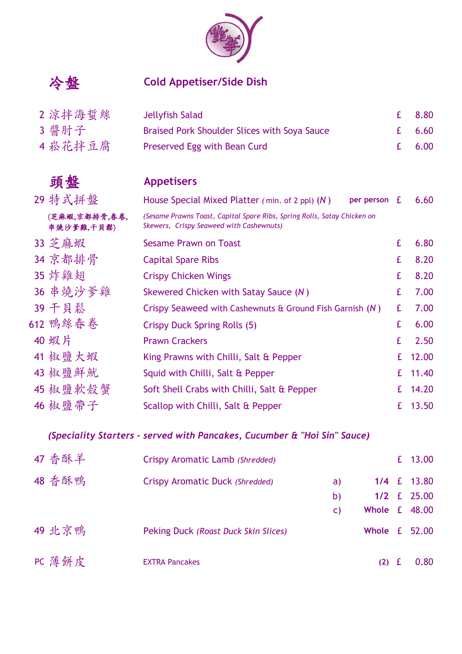

# 冷盤 **Cold Appetiser/Side Dish**

| 2 涼拌海蜇絲 | Jellyfish Salad                                     | $E = 8.80$ |
|---------|-----------------------------------------------------|------------|
| 3 醬肘子   | <b>Braised Pork Shoulder Slices with Soya Sauce</b> | £ $6.60$   |
| 4 崧花拌豆腐 | Preserved Egg with Bean Curd                        | £ $6.00$   |

# 頭盤 **Appetisers**

| 29 特式拼盤                     | House Special Mixed Platter (min. of 2 ppl) $(N)$<br>per person                                                      | £  | 6.60  |
|-----------------------------|----------------------------------------------------------------------------------------------------------------------|----|-------|
| (芝麻蝦,京都排骨,春卷,<br>串燒沙爹雞,干貝鬆) | (Sesame Prawns Toast, Capital Spare Ribs, Spring Rolls, Satay Chicken on<br>Skewers, Crispy Seaweed with Cashewnuts) |    |       |
| 33 芝麻蝦                      | <b>Sesame Prawn on Toast</b>                                                                                         | £  | 6.80  |
| 34 京都排骨                     | <b>Capital Spare Ribs</b>                                                                                            | £  | 8.20  |
| 35 炸雞翅                      | <b>Crispy Chicken Wings</b>                                                                                          | £  | 8.20  |
| 36 串燒沙爹雞                    | Skewered Chicken with Satay Sauce (N)                                                                                | £  | 7.00  |
| 39 千貝鬆                      | Crispy Seaweed with Cashewnuts & Ground Fish Garnish (N)                                                             | £  | 7.00  |
| 612 鴨絲春卷                    | <b>Crispy Duck Spring Rolls (5)</b>                                                                                  | £  | 6.00  |
| 40 蝦片                       | <b>Prawn Crackers</b>                                                                                                | £  | 2.50  |
| 41 椒鹽大蝦                     | King Prawns with Chilli, Salt & Pepper                                                                               | £  | 12.00 |
| 43 椒鹽鮮魷                     | Squid with Chilli, Salt & Pepper                                                                                     | £. | 11.40 |
| 45 椒鹽軟殼蟹                    | Soft Shell Crabs with Chilli, Salt & Pepper                                                                          | £. | 14.20 |
| 46 椒鹽帶子                     | Scallop with Chilli, Salt & Pepper                                                                                   | £. | 13.50 |

# *(Speciality Starters - served with Pancakes, Cucumber & "Hoi Sin" Sauce)*

| 47 香酥羊 | Crispy Aromatic Lamb (Shredded)       |     | £ 13.00       |
|--------|---------------------------------------|-----|---------------|
| 48 香酥鴨 | Crispy Aromatic Duck (Shredded)<br>a) |     | 1/4 £ 13.80   |
|        | b)                                    |     | 1/2 £ 25.00   |
|        | $\mathsf{C}$                          |     | Whole £ 48.00 |
| 49 北京鴨 | Peking Duck (Roast Duck Skin Slices)  |     | Whole £ 52.00 |
| PC 薄餅皮 | <b>EXTRA Pancakes</b>                 | (2) | 0.80          |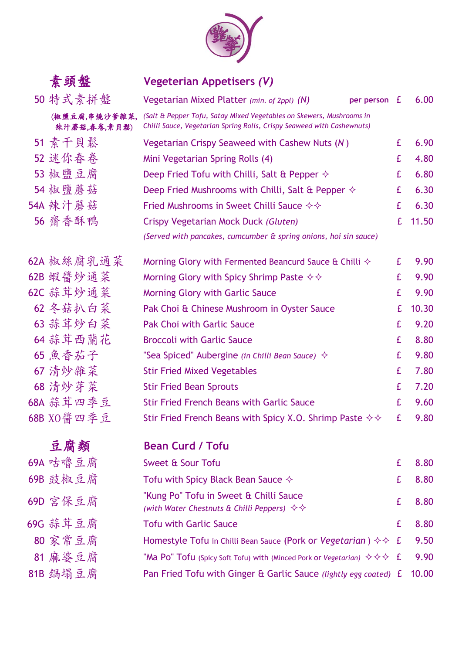

| 素頭盤                           | <b>Vegeterian Appetisers (V)</b>                                                                                                               |    |       |
|-------------------------------|------------------------------------------------------------------------------------------------------------------------------------------------|----|-------|
| 50 特式素拼盤                      | Vegetarian Mixed Platter (min. of 2ppl) (N)<br>per person                                                                                      | £  | 6.00  |
| (椒鹽豆腐,串燒沙爹雜菜,<br>辣汁蘑菇,春卷,素貝鬆) | (Salt & Pepper Tofu, Satay Mixed Vegetables on Skewers, Mushrooms in<br>Chilli Sauce, Vegetarian Spring Rolls, Crispy Seaweed with Cashewnuts) |    |       |
| 51 素干貝鬆                       | Vegetarian Crispy Seaweed with Cashew Nuts (N)                                                                                                 | £  | 6.90  |
| 52 迷你春卷                       | Mini Vegetarian Spring Rolls (4)                                                                                                               | £  | 4.80  |
| 53 椒鹽豆腐                       | Deep Fried Tofu with Chilli, Salt & Pepper $\diamond$                                                                                          | £  | 6.80  |
| 54 椒鹽蘑菇                       | Deep Fried Mushrooms with Chilli, Salt & Pepper $\diamond$                                                                                     | £  | 6.30  |
| 54A 辣汁蘑菇                      | Fried Mushrooms in Sweet Chilli Sauce $\diamond \diamond$                                                                                      | £  | 6.30  |
| 56 齋香酥鴨                       | Crispy Vegetarian Mock Duck (Gluten)                                                                                                           | £  | 11.50 |
|                               | (Served with pancakes, cumcumber & spring onions, hoi sin sauce)                                                                               |    |       |
| 62A 椒絲腐乳通菜                    | Morning Glory with Fermented Beancurd Sauce & Chilli $\diamond$                                                                                | £  | 9.90  |
| 62B 蝦醬炒通菜                     | Morning Glory with Spicy Shrimp Paste $\diamond \diamond$                                                                                      | £  | 9.90  |
| 62C 蒜茸炒通菜                     | <b>Morning Glory with Garlic Sauce</b>                                                                                                         | £  | 9.90  |
| 62 冬菇扒白菜                      | Pak Choi & Chinese Mushroom in Oyster Sauce                                                                                                    | £  | 10.30 |
| 63 蒜茸炒白菜                      | <b>Pak Choi with Garlic Sauce</b>                                                                                                              | £  | 9.20  |
| 64 蒜茸西蘭花                      | <b>Broccoli with Garlic Sauce</b>                                                                                                              | £  | 8.80  |
| 65 魚香茄子                       | "Sea Spiced" Aubergine (in Chilli Bean Sauce) $\Diamond$                                                                                       | £  | 9.80  |
| 67 清炒雜菜                       | <b>Stir Fried Mixed Vegetables</b>                                                                                                             | £  | 7.80  |
| 68 清炒芽菜                       | <b>Stir Fried Bean Sprouts</b>                                                                                                                 | £  | 7.20  |
| 68A 蒜茸四季豆                     | <b>Stir Fried French Beans with Garlic Sauce</b>                                                                                               | £  | 9.60  |
| 68B XO醬四季豆                    | Stir Fried French Beans with Spicy X.O. Shrimp Paste $\diamond \diamond$                                                                       | E. | 9.80  |
| 豆腐類                           | <b>Bean Curd / Tofu</b>                                                                                                                        |    |       |
| 69A 咕嚕豆腐                      | Sweet & Sour Tofu                                                                                                                              | £  | 8.80  |
| 69B 豉椒豆腐                      | Tofu with Spicy Black Bean Sauce $\diamondsuit$                                                                                                | £  | 8.80  |
| 69D 宮保豆腐                      | "Kung Po" Tofu in Sweet & Chilli Sauce<br>(with Water Chestnuts & Chilli Peppers) $\diamond \diamond \diamond$                                 | £  | 8.80  |
| 69G 蒜茸豆腐                      | <b>Tofu with Garlic Sauce</b>                                                                                                                  | £  | 8.80  |
| 80 家常豆腐                       | Homestyle Tofu in Chilli Bean Sauce (Pork or Vegetarian) $\diamond \diamond$ £                                                                 |    | 9.50  |
| 81 麻婆豆腐                       | "Ma <code>Po"</code> <code>Tofu</code> (Spicy Soft Tofu) with (Minced Pork or Vegetarian) $\,\diamond\,\diamond\,\diamond\,$ <code>f</code>    |    | 9.90  |
| 81B 鍋塌豆腐                      | Pan Fried Tofu with Ginger & Garlic Sauce (lightly egg coated) £                                                                               |    | 10.00 |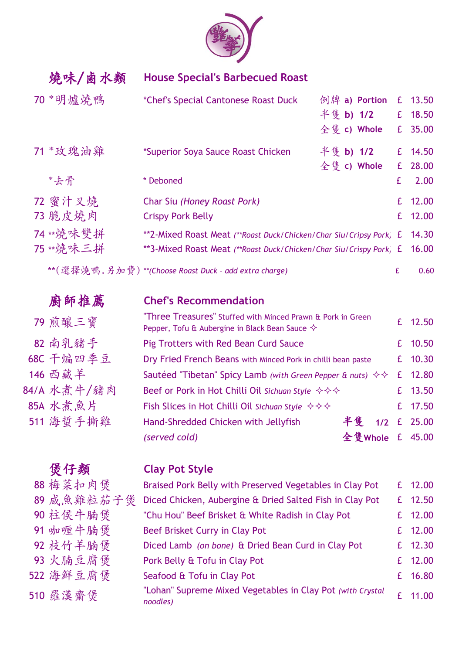

燒味/鹵水類 **House Special's Barbecued Roast**

| 70 *明爐燒鴨  | 例牌 a) Portion<br>*Chef's Special Cantonese Roast Duck              |             | £ 13.50 |
|-----------|--------------------------------------------------------------------|-------------|---------|
|           | 半隻 b) 1/2                                                          |             | £ 18.50 |
|           | 全隻 c) Whole                                                        |             | £ 35.00 |
| 71 *玫瑰油雞  | 半隻 b) 1/2<br>*Superior Soya Sauce Roast Chicken                    |             | £ 14.50 |
|           | 全隻 c) Whole                                                        |             | £ 28.00 |
| *去骨       | * Deboned                                                          | £           | 2.00    |
| 72 蜜汁叉燒   | Char Siu (Honey Roast Pork)                                        | $f_{\cdot}$ | 12.00   |
| 73 脆皮燒肉   | <b>Crispy Pork Belly</b>                                           |             | £ 12.00 |
| 74 **燒味雙拼 | **2-Mixed Roast Meat (**Roast Duck/Chicken/Char Siu/Cripsy Pork) £ |             | 14.30   |
| 75 **燒味三拼 | **3-Mixed Roast Meat (**Roast Duck/Chicken/Char Siu/Crispy Pork) £ |             | 16.00   |
|           | **(選擇燒鴨.另加費) **(Choose Roast Duck - add extra charge)              |             | 0.60    |

| 廚師推薦        | <b>Chef's Recommendation</b>                                                                                               |         |   |             |
|-------------|----------------------------------------------------------------------------------------------------------------------------|---------|---|-------------|
| 79 煎釀三寶     | "Three Treasures" Stuffed with Minced Prawn & Pork in Green<br>Pepper, Tofu & Aubergine in Black Bean Sauce $\diamondsuit$ |         |   | £ 12.50     |
| 82 南乳豬手     | Pig Trotters with Red Bean Curd Sauce                                                                                      |         |   | £ 10.50     |
| 68C 干煸四季豆   | Dry Fried French Beans with Minced Pork in chilli bean paste                                                               |         |   | £ 10.30     |
| 146 西藏羊     | Sautéed "Tibetan" Spicy Lamb (with Green Pepper & nuts) $\diamondsuit$                                                     |         | £ | 12.80       |
| 84/A 水煮牛/豬肉 | Beef or Pork in Hot Chilli Oil Sichuan Style $\diamond \diamond \diamond \diamond$                                         |         |   | £ 13.50     |
| 85A 水煮魚片    | Fish Slices in Hot Chilli Oil Sichuan Style $\diamond \diamond \diamond \diamond$                                          |         |   | £ 17.50     |
| 511 海蜇手撕雞   | Hand-Shredded Chicken with Jellyfish                                                                                       | 半售      |   | 1/2 £ 25.00 |
|             | (served cold)                                                                                                              | 全隻Whole |   | £ 45.00     |
|             |                                                                                                                            |         |   |             |

# 煲仔類 **Clay Pot Style**

| 88 梅菜扣肉煲   | Braised Pork Belly with Preserved Vegetables in Clay Pot               |    | £ 12.00 |
|------------|------------------------------------------------------------------------|----|---------|
| 89 咸魚雞粒茄子煲 | Diced Chicken, Aubergine & Dried Salted Fish in Clay Pot               | £. | 12.50   |
| 90 柱侯牛腩煲   | "Chu Hou" Beef Brisket & White Radish in Clay Pot                      |    | £ 12.00 |
| 91 咖喱牛腩煲   | Beef Brisket Curry in Clay Pot                                         |    | £ 12.00 |
| 92 枝竹羊腩煲   | Diced Lamb (on bone) & Dried Bean Curd in Clay Pot                     |    | £ 12.30 |
| 93 火腩豆腐煲   | Pork Belly & Tofu in Clay Pot                                          |    | £ 12.00 |
| 522 海鮮豆腐煲  | Seafood & Tofu in Clay Pot                                             |    | £ 16.80 |
| 510 羅漢齋煲   | "Lohan" Supreme Mixed Vegetables in Clay Pot (with Crystal<br>noodles) |    | 11.00   |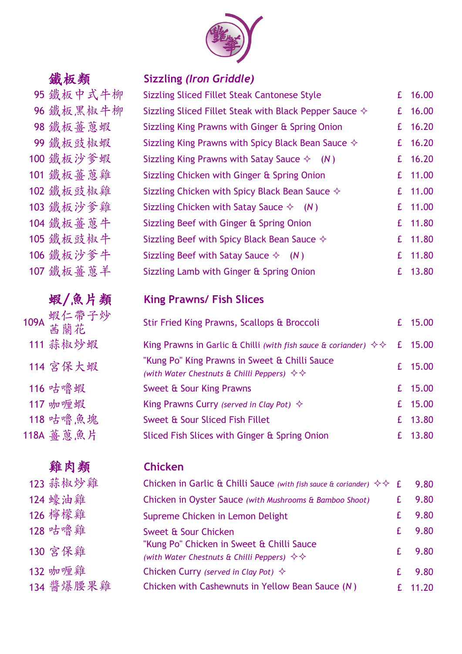

# 95 鐵板中式牛柳

96 鐵板黑椒牛柳

98 鐵板薑蔥蝦

99 鐵板豉椒蝦

100 鐵板沙爹蝦

101 鐵板薑蔥雞

102 鐵板豉椒雞

103 鐵板沙爹雞

104 鐵板薑蔥牛

105 鐵板豉椒牛

106 鐵板沙爹牛

107 鐵板薑蔥羊

109A 蝦仁帶子炒

111 蒜椒炒蝦

114 宮保大蝦

116 咕嚕蝦

117 咖喱蝦 King Prawns Curry *(served in Clay Pot)* £ 15.00

118 咕嚕魚塊

118A 薑蔥魚片

### 鐵板類 **Sizzling** *(Iron Griddle)*

| Sizzling Sliced Fillet Steak Cantonese Style                    | £  | 16.00     |
|-----------------------------------------------------------------|----|-----------|
| Sizzling Sliced Fillet Steak with Black Pepper Sauce $\diamond$ | £  | 16.00     |
| Sizzling King Prawns with Ginger & Spring Onion                 |    | £ 16.20   |
| Sizzling King Prawns with Spicy Black Bean Sauce $\diamond$     |    | £ $16.20$ |
| Sizzling King Prawns with Satay Sauce $\Diamond$ (N)            |    | £ $16.20$ |
| Sizzling Chicken with Ginger & Spring Onion                     | £  | 11.00     |
| Sizzling Chicken with Spicy Black Bean Sauce $\diamondsuit$     | £  | 11.00     |
| Sizzling Chicken with Satay Sauce $\Diamond$ (N)                |    | £ 11.00   |
| Sizzling Beef with Ginger & Spring Onion                        |    | £ 11.80   |
| Sizzling Beef with Spicy Black Bean Sauce $\diamond$            | £  | 11.80     |
| Sizzling Beef with Satay Sauce $\Diamond$ (N)                   | £  | 11.80     |
| Sizzling Lamb with Ginger & Spring Onion                        | £. | 13.80     |

# 蝦/魚片類 **King Prawns/ Fish Slices**

| 取仁审丁炒<br>茜蘭花 | Stir Fried King Prawns, Scallops & Broccoli                                                                           |   | £ 15.00 |
|--------------|-----------------------------------------------------------------------------------------------------------------------|---|---------|
| 蒜椒炒蝦         | King Prawns in Garlic & Chilli (with fish sauce & coriander) $\diamondsuit$                                           | £ | 15.00   |
| 宮保大蝦         | "Kung Po" King Prawns in Sweet & Chilli Sauce<br>(with Water Chestnuts & Chilli Peppers) $\diamond \diamond \diamond$ |   | £ 15.00 |
| 咕嚕蝦          | Sweet & Sour King Prawns                                                                                              |   | £ 15.00 |
| 咖喱蝦          | King Prawns Curry (served in Clay Pot) $\Diamond$                                                                     |   | £ 15.00 |
| 咕嚕魚塊         | Sweet & Sour Sliced Fish Fillet                                                                                       |   | £ 13.80 |
| 薑蔥魚片         | Sliced Fish Slices with Ginger & Spring Onion                                                                         |   | £ 13.80 |
|              |                                                                                                                       |   |         |

### 雞肉類 **Chicken**

| 123 蒜椒炒雞  | Chicken in Garlic & Chilli Sauce (with fish sauce & coriander) $\diamond \diamond E$                              |    | 9.80    |
|-----------|-------------------------------------------------------------------------------------------------------------------|----|---------|
| 124 蠔油雞   | Chicken in Oyster Sauce (with Mushrooms & Bamboo Shoot)                                                           |    | 9.80    |
| 126 檸檬雞   | Supreme Chicken in Lemon Delight                                                                                  |    | 9.80    |
| 128 咕嚕雞   | Sweet & Sour Chicken                                                                                              | £. | 9.80    |
| 130 宮保雞   | "Kung Po" Chicken in Sweet & Chilli Sauce<br>(with Water Chestnuts & Chilli Peppers) $\diamond \diamond \diamond$ |    | 9.80    |
| 132 咖喱雞   | Chicken Curry (served in Clay Pot) $\diamondsuit$                                                                 |    | 9.80    |
| 134 醬爆腰果雞 | Chicken with Cashewnuts in Yellow Bean Sauce (N)                                                                  |    | £ 11.20 |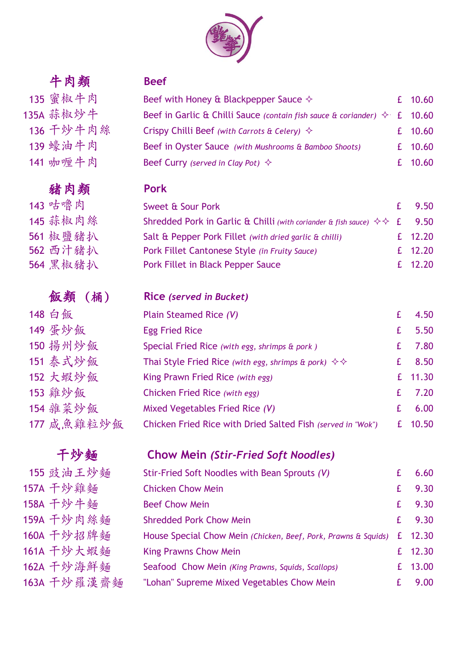

# 牛肉類 **Beef**

| 1 M 28    |
|-----------|
| 135 蜜椒牛肉  |
| 135A 蒜椒炒牛 |
| 136 干炒牛肉絲 |
| 139 蠔油牛肉  |
| 141 咖喱牛肉  |

## 豬肉類 **Pork**

| 141 咖喱牛肉 | Beef Curry (served in Clay Pot) $\Diamond$                                                | £ 10.60  |
|----------|-------------------------------------------------------------------------------------------|----------|
| 豬肉類      | <b>Pork</b>                                                                               |          |
| 143 咕嚕肉  | Sweet & Sour Pork                                                                         | £ $9.50$ |
| 145 蒜椒肉絲 | Shredded Pork in Garlic & Chilli (with coriander & fish sauce) $\diamond \diamond$ f 9.50 |          |
| 561 椒鹽豬扒 | Salt & Pepper Pork Fillet (with dried garlic & chilli)                                    | £ 12.20  |

Beef with Honey & Blackpepper Sauce  $\Diamond$  6 for 10.60 **135A Beef in Garlic & Chilli Sauce** *(contain fish sauce & coriander)*  $\Diamond$  **f** 10.60

**136 Crispy Chilli Beef** *(with Carrots & Celery)*  $\Diamond$  6 **10.60** 

Beef in Oyster Sauce *(with Mushrooms & Bamboo Shoots)* £ 10.60

| 561 椒鹽豬扒 | Salt & Pepper Pork Fillet (with dried garlic & chilli) | £ 12.20 |
|----------|--------------------------------------------------------|---------|
| 562 西汁豬扒 | Pork Fillet Cantonese Style (in Fruity Sauce)          | £ 12.20 |
| 564 黑椒豬扒 | Pork Fillet in Black Pepper Sauce                      | £ 12.20 |

## 飯類 (桶) **Rice** *(served in Bucket)*

| Plain Steamed Rice (V)                                                                     |    | 4.50    |
|--------------------------------------------------------------------------------------------|----|---------|
| <b>Egg Fried Rice</b>                                                                      |    | 5.50    |
| Special Fried Rice (with egg, shrimps & pork)                                              | £. | 7.80    |
| Thai Style Fried Rice (with egg, shrimps & pork) $\diamondsuit \diamondsuit$               | £  | 8.50    |
| King Prawn Fried Rice (with egg)                                                           |    | £ 11.30 |
| Chicken Fried Rice (with egg)                                                              | £. | 7.20    |
| Mixed Vegetables Fried Rice (V)                                                            | £. | 6.00    |
| Chicken Fried Rice with Dried Salted Fish (served in "Wok")                                |    | 10.50   |
| 148 白飯<br>149 蛋炒飯<br>150 揚州炒飯<br>151 泰式炒飯<br>152 大蝦炒飯<br>153 雞炒飯<br>154 雜菜炒飯<br>177 咸魚雞粒炒飯 |    |         |

# 干炒麵 **Chow Mein** *(Stir-Fried Soft Noodles)*

|    | Stir-Fried Soft Noodles with Bean Sprouts (V)                          |             | 6.60    |
|----|------------------------------------------------------------------------|-------------|---------|
|    | <b>Chicken Chow Mein</b>                                               | £           | 9.30    |
|    | <b>Beef Chow Mein</b>                                                  | £.          | 9.30    |
|    | <b>Shredded Pork Chow Mein</b>                                         | $f_{\perp}$ | 9.30    |
|    | House Special Chow Mein (Chicken, Beef, Pork, Prawns & Squids) £ 12.30 |             |         |
|    | <b>King Prawns Chow Mein</b>                                           |             | £ 12.30 |
|    | Seafood Chow Mein (King Prawns, Squids, Scallops)                      |             | £ 13.00 |
| -麵 | "Lohan" Supreme Mixed Vegetables Chow Mein                             |             | 9.00    |

564 黑椒豬扒 P

155 豉油王炒麵 157A 干炒雞麵 158A 干炒牛麵 159A 干炒肉絲麵 160A 干炒招牌麵 161A 干炒大蝦麵 162A 干炒海鮮麵 163A 干炒羅漢齋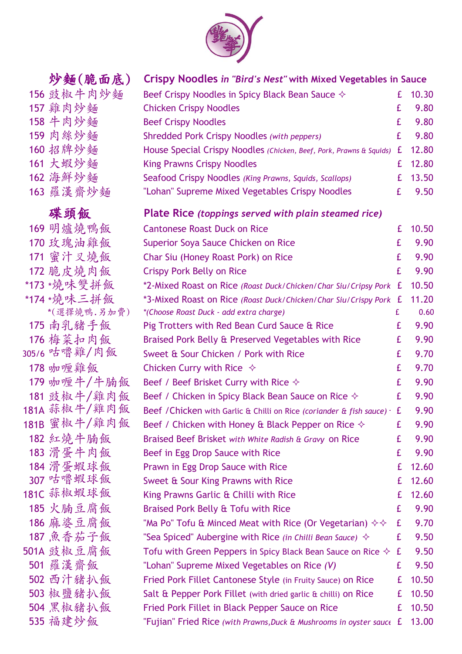

# 156 豉椒牛肉炒麵 157 雞肉炒麵 158 牛肉炒麵 159 肉絲炒麵 160 招牌炒麵 161 大蝦炒麵 162 海鮮炒麵 163 羅漢齋炒麵 169 明爐燒鴨飯 170 玫瑰油雞飯 171 蜜汁又燒飯 172 脆皮燒肉飯 \*173 \*燒味雙拼飯 \*174 \*燒味三拼飯 \*3-Mixed Roast on Rice *(Roast Duck/Chicken/Char Siu/Crispy Pork)* £ 11.20 \*(選擇燒鴨.另加費) *\*(Choose Roast Duck - add extra charge)* £ 0.60 175 南乳豬手飯 176 梅菜扣肉飯 305/6 咕嚕雞/肉飯 178 咖喱雞飯 179 咖喱牛/牛腩 181 豉椒牛/雞肉 181A 蒜椒牛/雞肉 181B 蜜椒牛/雞肉 182 紅燒牛腩飯 183 滑蛋牛肉飯 184 滑蛋蝦球飯 307 咕嚕蝦球飯 181C 蒜椒蝦球飯 185 火腩豆腐飯 186 麻婆豆腐飯 187 魚香茄子飯  $501A$  豉椒豆腐飯 501 羅漢齋飯 502 西汁豬扒飯 503 椒鹽豬扒飯 504 黑椒豬扒飯 535 福建炒飯

### 炒麵(脆面底) **Crispy Noodles** *in "Bird's Nest"* **with Mixed Vegetables in Sauce**

| Beef Crispy Noodles in Spicy Black Bean Sauce $\diamondsuit$                |    | £ 10.30 |
|-----------------------------------------------------------------------------|----|---------|
| <b>Chicken Crispy Noodles</b>                                               | £  | 9.80    |
| <b>Beef Crispy Noodles</b>                                                  | £. | 9.80    |
| <b>Shredded Pork Crispy Noodles (with peppers)</b>                          | £  | 9.80    |
| House Special Crispy Noodles (Chicken, Beef, Pork, Prawns & Squids) £ 12.80 |    |         |
| <b>King Prawns Crispy Noodles</b>                                           |    | £ 12.80 |
| Seafood Crispy Noodles (King Prawns, Squids, Scallops)                      |    | £ 13.50 |
| "Lohan" Supreme Mixed Vegetables Crispy Noodles                             | £. | 9.50    |

### 碟頭飯 **Plate Rice** *(toppings served with plain steamed rice)*

|    | <b>Cantonese Roast Duck on Rice</b>                                      | £ | 10.50 |
|----|--------------------------------------------------------------------------|---|-------|
|    | Superior Soya Sauce Chicken on Rice                                      | £ | 9.90  |
|    | Char Siu (Honey Roast Pork) on Rice                                      | £ | 9.90  |
|    | <b>Crispy Pork Belly on Rice</b>                                         | £ | 9.90  |
|    | *2-Mixed Roast on Rice (Roast Duck/Chicken/Char Siu/Cripsy Pork          | £ | 10.50 |
|    | *3-Mixed Roast on Rice (Roast Duck/Chicken/Char Siu/Crispy Pork £        |   | 11.20 |
| 費) | *(Choose Roast Duck - add extra charge)                                  | £ | 0.60  |
|    | Pig Trotters with Red Bean Curd Sauce & Rice                             | £ | 9.90  |
|    | Braised Pork Belly & Preserved Vegetables with Rice                      | £ | 9.90  |
|    | Sweet & Sour Chicken / Pork with Rice                                    | £ | 9.70  |
|    | Chicken Curry with Rice $\Diamond$                                       | £ | 9.70  |
| 飯  | Beef / Beef Brisket Curry with Rice $\diamond$                           | £ | 9.90  |
| 飯  | Beef / Chicken in Spicy Black Bean Sauce on Rice $\diamond$              | £ | 9.90  |
| 飯  | Beef / Chicken with Garlic & Chilli on Rice (coriander & fish sauce)     | £ | 9.90  |
| 飯  | Beef / Chicken with Honey & Black Pepper on Rice $\diamond$              | £ | 9.90  |
|    | Braised Beef Brisket with White Radish & Gravy on Rice                   | £ | 9.90  |
|    | Beef in Egg Drop Sauce with Rice                                         | £ | 9.90  |
|    | Prawn in Egg Drop Sauce with Rice                                        | £ | 12.60 |
|    | Sweet & Sour King Prawns with Rice                                       | £ | 12.60 |
|    | King Prawns Garlic & Chilli with Rice                                    | £ | 12.60 |
|    | Braised Pork Belly & Tofu with Rice                                      | £ | 9.90  |
|    | "Ma Po" Tofu & Minced Meat with Rice (Or Vegetarian) $\diamond \diamond$ | £ | 9.70  |
|    | "Sea Spiced" Aubergine with Rice (in Chilli Bean Sauce) $\Diamond$       | £ | 9.50  |
|    | Tofu with Green Peppers in Spicy Black Bean Sauce on Rice $\diamondsuit$ | £ | 9.50  |
|    | "Lohan" Supreme Mixed Vegetables on Rice (V)                             | £ | 9.50  |
|    | Fried Pork Fillet Cantonese Style (in Fruity Sauce) on Rice              | £ | 10.50 |
|    | Salt & Pepper Pork Fillet (with dried garlic & chilli) on Rice           | £ | 10.50 |
|    | Fried Pork Fillet in Black Pepper Sauce on Rice                          | £ | 10.50 |
|    | "Fujian" Fried Rice (with Prawns, Duck & Mushrooms in oyster sauce £     |   | 13.00 |